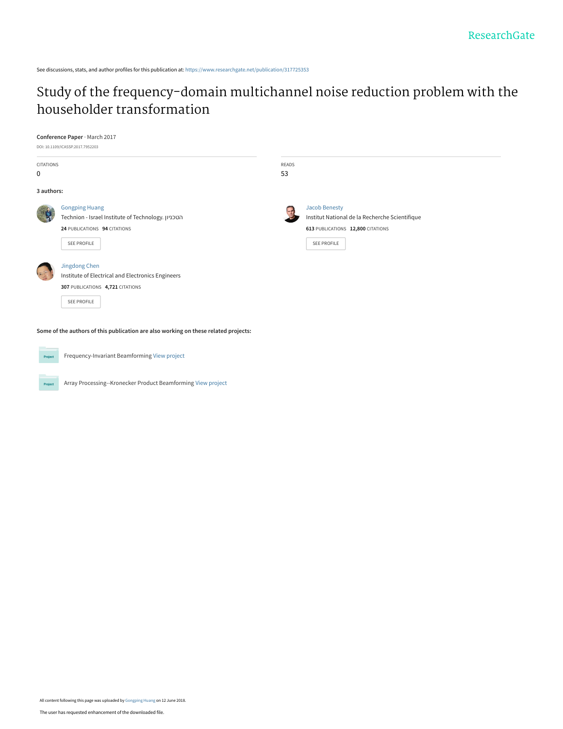See discussions, stats, and author profiles for this publication at: [https://www.researchgate.net/publication/317725353](https://www.researchgate.net/publication/317725353_Study_of_the_frequency-domain_multichannel_noise_reduction_problem_with_the_householder_transformation?enrichId=rgreq-a22602a1f710e0af956f20f1dc8b2938-XXX&enrichSource=Y292ZXJQYWdlOzMxNzcyNTM1MztBUzo2MzY2MDYxODQ3MDE5NTRAMTUyODc5MDE1MDQ5MA%3D%3D&el=1_x_2&_esc=publicationCoverPdf)

# [Study of the frequency-domain multichannel noise reduction problem with the](https://www.researchgate.net/publication/317725353_Study_of_the_frequency-domain_multichannel_noise_reduction_problem_with_the_householder_transformation?enrichId=rgreq-a22602a1f710e0af956f20f1dc8b2938-XXX&enrichSource=Y292ZXJQYWdlOzMxNzcyNTM1MztBUzo2MzY2MDYxODQ3MDE5NTRAMTUyODc5MDE1MDQ5MA%3D%3D&el=1_x_3&_esc=publicationCoverPdf) householder transformation

## **Conference Paper** · March 2017

|                      | DOI: 10.1109/ICASSP.2017.7952203                   |              |                                                |
|----------------------|----------------------------------------------------|--------------|------------------------------------------------|
| CITATIONS            |                                                    | <b>READS</b> |                                                |
| 0                    |                                                    | 53           |                                                |
| 3 authors:           |                                                    |              |                                                |
|                      | <b>Gongping Huang</b>                              |              | <b>Jacob Benesty</b>                           |
|                      | Technion - Israel Institute of Technology. הטכניון |              | Institut National de la Recherche Scientifique |
|                      | 24 PUBLICATIONS 94 CITATIONS                       |              | 613 PUBLICATIONS 12,800 CITATIONS              |
|                      | SEE PROFILE                                        |              | <b>SEE PROFILE</b>                             |
| $\frac{1}{\sqrt{2}}$ | Jingdong Chen                                      |              |                                                |
|                      | Institute of Electrical and Electronics Engineers  |              |                                                |
|                      | 307 PUBLICATIONS 4,721 CITATIONS                   |              |                                                |
|                      | SEE PROFILE                                        |              |                                                |
|                      |                                                    |              |                                                |

**Some of the authors of this publication are also working on these related projects:**



Frequency-Invariant Beamforming [View project](https://www.researchgate.net/project/Frequency-Invariant-Beamforming-2?enrichId=rgreq-a22602a1f710e0af956f20f1dc8b2938-XXX&enrichSource=Y292ZXJQYWdlOzMxNzcyNTM1MztBUzo2MzY2MDYxODQ3MDE5NTRAMTUyODc5MDE1MDQ5MA%3D%3D&el=1_x_9&_esc=publicationCoverPdf)

Project

Array Processing--Kronecker Product Beamforming [View project](https://www.researchgate.net/project/Array-Processing--Kronecker-Product-Beamforming?enrichId=rgreq-a22602a1f710e0af956f20f1dc8b2938-XXX&enrichSource=Y292ZXJQYWdlOzMxNzcyNTM1MztBUzo2MzY2MDYxODQ3MDE5NTRAMTUyODc5MDE1MDQ5MA%3D%3D&el=1_x_9&_esc=publicationCoverPdf)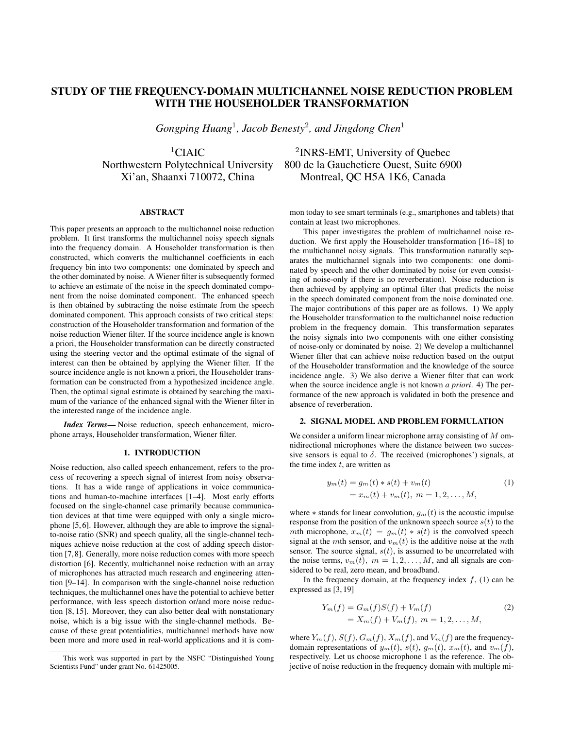## STUDY OF THE FREQUENCY-DOMAIN MULTICHANNEL NOISE REDUCTION PROBLEM WITH THE HOUSEHOLDER TRANSFORMATION

*Gongping Huang*<sup>1</sup> *, Jacob Benesty*<sup>2</sup> *, and Jingdong Chen*<sup>1</sup>

 ${}^{1}$ CIAIC

## ABSTRACT

This paper presents an approach to the multichannel noise reduction problem. It first transforms the multichannel noisy speech signals into the frequency domain. A Householder transformation is then constructed, which converts the multichannel coefficients in each frequency bin into two components: one dominated by speech and the other dominated by noise. A Wiener filter is subsequently formed to achieve an estimate of the noise in the speech dominated component from the noise dominated component. The enhanced speech is then obtained by subtracting the noise estimate from the speech dominated component. This approach consists of two critical steps: construction of the Householder transformation and formation of the noise reduction Wiener filter. If the source incidence angle is known a priori, the Householder transformation can be directly constructed using the steering vector and the optimal estimate of the signal of interest can then be obtained by applying the Wiener filter. If the source incidence angle is not known a priori, the Householder transformation can be constructed from a hypothesized incidence angle. Then, the optimal signal estimate is obtained by searching the maximum of the variance of the enhanced signal with the Wiener filter in the interested range of the incidence angle.

*Index Terms*— Noise reduction, speech enhancement, microphone arrays, Householder transformation, Wiener filter.

## 1. INTRODUCTION

Noise reduction, also called speech enhancement, refers to the process of recovering a speech signal of interest from noisy observations. It has a wide range of applications in voice communications and human-to-machine interfaces [1–4]. Most early efforts focused on the single-channel case primarily because communication devices at that time were equipped with only a single microphone [5, 6]. However, although they are able to improve the signalto-noise ratio (SNR) and speech quality, all the single-channel techniques achieve noise reduction at the cost of adding speech distortion [7, 8]. Generally, more noise reduction comes with more speech distortion [6]. Recently, multichannel noise reduction with an array of microphones has attracted much research and engineering attention [9–14]. In comparison with the single-channel noise reduction techniques, the multichannel ones have the potential to achieve better performance, with less speech distortion or/and more noise reduction [8, 15]. Moreover, they can also better deal with nonstationary noise, which is a big issue with the single-channel methods. Because of these great potentialities, multichannel methods have now been more and more used in real-world applications and it is com-

<sup>2</sup>INRS-EMT, University of Ouebec Northwestern Polytechnical University 800 de la Gauchetiere Ouest, Suite 6900 Xi'an, Shaanxi 710072, China Montreal, QC H5A 1K6, Canada

> mon today to see smart terminals (e.g., smartphones and tablets) that contain at least two microphones.

> This paper investigates the problem of multichannel noise reduction. We first apply the Householder transformation [16–18] to the multichannel noisy signals. This transformation naturally separates the multichannel signals into two components: one dominated by speech and the other dominated by noise (or even consisting of noise-only if there is no reverberation). Noise reduction is then achieved by applying an optimal filter that predicts the noise in the speech dominated component from the noise dominated one. The major contributions of this paper are as follows. 1) We apply the Householder transformation to the multichannel noise reduction problem in the frequency domain. This transformation separates the noisy signals into two components with one either consisting of noise-only or dominated by noise. 2) We develop a multichannel Wiener filter that can achieve noise reduction based on the output of the Householder transformation and the knowledge of the source incidence angle. 3) We also derive a Wiener filter that can work when the source incidence angle is not known *a priori*. 4) The performance of the new approach is validated in both the presence and absence of reverberation.

## 2. SIGNAL MODEL AND PROBLEM FORMULATION

We consider a uniform linear microphone array consisting of M omnidirectional microphones where the distance between two successive sensors is equal to  $\delta$ . The received (microphones') signals, at the time index  $t$ , are written as

$$
y_m(t) = g_m(t) * s(t) + v_m(t)
$$
  
=  $x_m(t) + v_m(t), \ m = 1, 2, ..., M,$  (1)

where  $*$  stands for linear convolution,  $g_m(t)$  is the acoustic impulse response from the position of the unknown speech source  $s(t)$  to the mth microphone,  $x_m(t) = g_m(t) * s(t)$  is the convolved speech signal at the mth sensor, and  $v_m(t)$  is the additive noise at the mth sensor. The source signal,  $s(t)$ , is assumed to be uncorrelated with the noise terms,  $v_m(t)$ ,  $m = 1, 2, ..., M$ , and all signals are considered to be real, zero mean, and broadband.

In the frequency domain, at the frequency index  $f$ , (1) can be expressed as [3, 19]

$$
Y_m(f) = G_m(f)S(f) + V_m(f)
$$
  
=  $X_m(f) + V_m(f), \ m = 1, 2, ..., M,$  (2)

where  $Y_m(f)$ ,  $S(f)$ ,  $G_m(f)$ ,  $X_m(f)$ , and  $V_m(f)$  are the frequencydomain representations of  $y_m(t)$ ,  $s(t)$ ,  $g_m(t)$ ,  $x_m(t)$ , and  $v_m(f)$ , respectively. Let us choose microphone 1 as the reference. The objective of noise reduction in the frequency domain with multiple mi-

This work was supported in part by the NSFC "Distinguished Young Scientists Fund" under grant No. 61425005.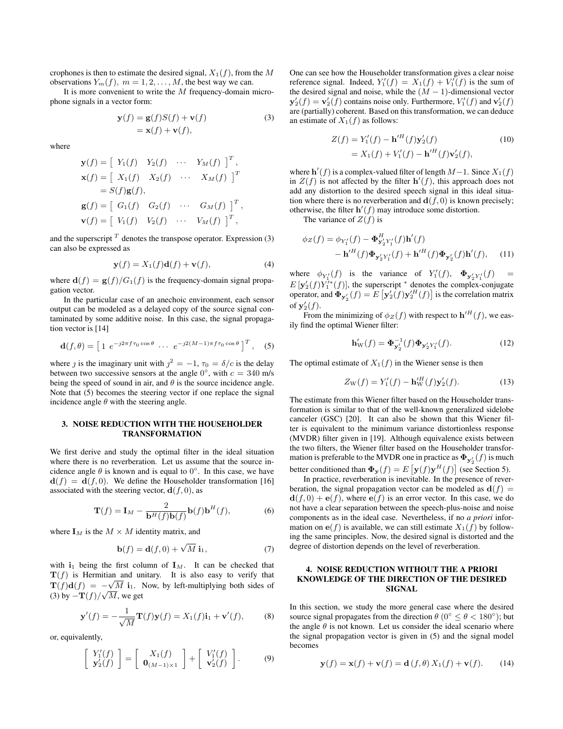crophones is then to estimate the desired signal,  $X_1(f)$ , from the M observations  $Y_m(f)$ ,  $m = 1, 2, ..., M$ , the best way we can.

It is more convenient to write the  $M$  frequency-domain microphone signals in a vector form:

$$
\mathbf{y}(f) = \mathbf{g}(f)S(f) + \mathbf{v}(f)
$$
  
=  $\mathbf{x}(f) + \mathbf{v}(f)$ , (3)

 $\overline{a}$ 

where

$$
\mathbf{y}(f) = \begin{bmatrix} Y_1(f) & Y_2(f) & \cdots & Y_M(f) \end{bmatrix}^T,
$$
  
\n
$$
\mathbf{x}(f) = \begin{bmatrix} X_1(f) & X_2(f) & \cdots & X_M(f) \end{bmatrix}^T
$$
  
\n
$$
= S(f)\mathbf{g}(f),
$$
  
\n
$$
\mathbf{g}(f) = \begin{bmatrix} G_1(f) & G_2(f) & \cdots & G_M(f) \end{bmatrix}^T,
$$
  
\n
$$
\mathbf{v}(f) = \begin{bmatrix} V_1(f) & V_2(f) & \cdots & V_M(f) \end{bmatrix}^T,
$$

and the superscript  $<sup>T</sup>$  denotes the transpose operator. Expression (3)</sup> can also be expressed as

$$
\mathbf{y}(f) = X_1(f)\mathbf{d}(f) + \mathbf{v}(f),\tag{4}
$$

where  $\mathbf{d}(f) = \mathbf{g}(f)/G_1(f)$  is the frequency-domain signal propagation vector.

In the particular case of an anechoic environment, each sensor output can be modeled as a delayed copy of the source signal contaminated by some additive noise. In this case, the signal propagation vector is [14]

$$
\mathbf{d}(f,\theta) = \left[1 \ e^{-j2\pi f \tau_0 \cos \theta} \ \cdots \ e^{-j2(M-1)\pi f \tau_0 \cos \theta}\right]^T, \quad (5)
$$

where *j* is the imaginary unit with  $j^2 = -1$ ,  $\tau_0 = \delta/c$  is the delay between two successive sensors at the angle  $0^{\circ}$ , with  $c = 340$  m/s being the speed of sound in air, and  $\theta$  is the source incidence angle. Note that (5) becomes the steering vector if one replace the signal incidence angle  $\theta$  with the steering angle.

## 3. NOISE REDUCTION WITH THE HOUSEHOLDER TRANSFORMATION

We first derive and study the optimal filter in the ideal situation where there is no reverberation. Let us assume that the source incidence angle  $\theta$  is known and is equal to  $0^{\circ}$ . In this case, we have  $\mathbf{d}(f) = \mathbf{d}(f, 0)$ . We define the Householder transformation [16] associated with the steering vector,  $\mathbf{d}(f, 0)$ , as

$$
\mathbf{T}(f) = \mathbf{I}_M - \frac{2}{\mathbf{b}^H(f)\mathbf{b}(f)} \mathbf{b}(f)\mathbf{b}^H(f),\tag{6}
$$

where  $I_M$  is the  $M \times M$  identity matrix, and

$$
\mathbf{b}(f) = \mathbf{d}(f, 0) + \sqrt{M} \mathbf{i}_1,\tag{7}
$$

with  $i_1$  being the first column of  $I_M$ . It can be checked that  $\mathbf{T}(f)$  is Hermitian and unitary. It is also easy to verify that  $\mathbf{T}(f)\mathbf{d}(f) = -\sqrt{M} \mathbf{i}_1$ . Now, by left-multiplying both sides of (3) by  $-\mathbf{T}(f)/\sqrt{M}$ , we get

$$
\mathbf{y}'(f) = -\frac{1}{\sqrt{M}} \mathbf{T}(f) \mathbf{y}(f) = X_1(f) \mathbf{i}_1 + \mathbf{v}'(f), \quad (8)
$$

or, equivalently,

$$
\left[\begin{array}{c} Y_1'(f) \\ \mathbf{y}_2'(f) \end{array}\right] = \left[\begin{array}{c} X_1(f) \\ \mathbf{0}_{(M-1)\times 1} \end{array}\right] + \left[\begin{array}{c} V_1'(f) \\ \mathbf{v}_2'(f) \end{array}\right].
$$
 (9)

One can see how the Householder transformation gives a clear noise reference signal. Indeed,  $Y_1'(f) = X_1(f) + V_1'(f)$  is the sum of the desired signal and noise, while the  $(M - 1)$ -dimensional vector  $y_2'(f) = v_2'(f)$  contains noise only. Furthermore,  $V_1'(f)$  and  $v_2'(f)$ are (partially) coherent. Based on this transformation, we can deduce an estimate of  $X_1(f)$  as follows:

$$
Z(f) = Y'_1(f) - {\bf h'}^H(f){\bf y}'_2(f)
$$
  
= X<sub>1</sub>(f) + V'<sub>1</sub>(f) - {\bf h'}^H(f){\bf v}'\_2(f), (10)

where  $\mathbf{h}'(f)$  is a complex-valued filter of length  $M-1$ . Since  $X_1(f)$ in  $Z(f)$  is not affected by the filter  $h'(f)$ , this approach does not add any distortion to the desired speech signal in this ideal situation where there is no reverberation and  $\mathbf{d}(f, 0)$  is known precisely; otherwise, the filter  $\mathbf{h}'(f)$  may introduce some distortion.

The variance of  $Z(f)$  is

$$
\phi_Z(f) = \phi_{Y'_1}(f) - \Phi_{\mathbf{y}'_2 Y'_1}^H(f) \mathbf{h}'(f)
$$
  
- 
$$
\mathbf{h}'^H(f) \Phi_{\mathbf{y}'_2 Y'_1}(f) + \mathbf{h}'^H(f) \Phi_{\mathbf{y}'_2}(f) \mathbf{h}'(f), \quad (11)
$$

where  $\phi_{Y_1'}(f)$  is the variance of  $Y_1'(f)$ ,  $\Phi_{Y_2'Y_1'}(f) =$  $E[\mathbf{y}'_2(f)Y_1^{\gamma*}(f)]$ , the superscript  $^*$  denotes the complex-conjugate operator, and  $\mathbf{\Phi}_{\mathbf{y}_2'}(f) = E\left[\mathbf{y}_2'(f)\mathbf{y}_2'^H(f)\right]$  is the correlation matrix of  $y_2'(f)$ .

From the minimizing of  $\phi_Z(f)$  with respect to  $\mathbf{h}'^H(f)$ , we easily find the optimal Wiener filter:

$$
\mathbf{h}'_{\mathbf{W}}(f) = \mathbf{\Phi}_{\mathbf{y}'_2}^{-1}(f)\mathbf{\Phi}_{\mathbf{y}'_2 Y'_1}(f). \tag{12}
$$

The optimal estimate of  $X_1(f)$  in the Wiener sense is then

$$
Z_{\rm W}(f) = Y_1'(f) - {\bf h}_{\rm W}'^H(f) {\bf y}_2'(f). \tag{13}
$$

The estimate from this Wiener filter based on the Householder transformation is similar to that of the well-known generalized sidelobe canceler (GSC) [20]. It can also be shown that this Wiener filter is equivalent to the minimum variance distortionless response (MVDR) filter given in [19]. Although equivalence exists between the two filters, the Wiener filter based on the Householder transformation is preferable to the MVDR one in practice as  $\mathbf{\Phi}_{\mathbf{y}_2'}(f)$  is much better conditioned than  $\mathbf{\Phi}_{\mathbf{y}}(f) = E[\mathbf{y}(f)\mathbf{y}^H(f)]$  (see Section 5).

In practice, reverberation is inevitable. In the presence of reverberation, the signal propagation vector can be modeled as  $d(f)$  =  $\mathbf{d}(f, 0) + \mathbf{e}(f)$ , where  $\mathbf{e}(f)$  is an error vector. In this case, we do not have a clear separation between the speech-plus-noise and noise components as in the ideal case. Nevertheless, if no *a priori* information on  $e(f)$  is available, we can still estimate  $X_1(f)$  by following the same principles. Now, the desired signal is distorted and the degree of distortion depends on the level of reverberation.

## 4. NOISE REDUCTION WITHOUT THE A PRIORI KNOWLEDGE OF THE DIRECTION OF THE DESIRED SIGNAL

In this section, we study the more general case where the desired source signal propagates from the direction  $\theta$  (0°  $\leq \theta$  < 180°); but the angle  $\theta$  is not known. Let us consider the ideal scenario where the signal propagation vector is given in (5) and the signal model becomes

$$
\mathbf{y}(f) = \mathbf{x}(f) + \mathbf{v}(f) = \mathbf{d}(f, \theta) X_1(f) + \mathbf{v}(f).
$$
 (14)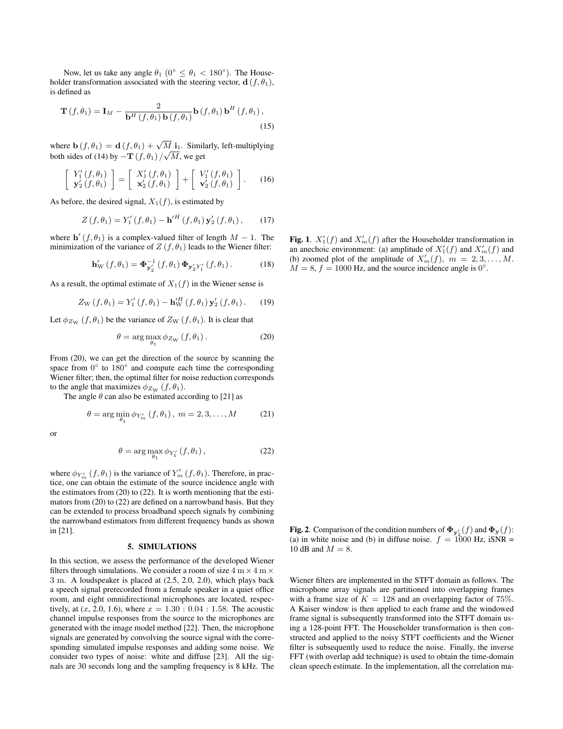Now, let us take any angle  $\theta_1$  (0°  $\leq \theta_1$  < 180°). The Householder transformation associated with the steering vector,  $\mathbf{d}(f, \theta_1)$ , is defined as

$$
\mathbf{T}(f,\theta_1) = \mathbf{I}_M - \frac{2}{\mathbf{b}^H(f,\theta_1)\,\mathbf{b}(f,\theta_1)}\mathbf{b}(f,\theta_1)\,\mathbf{b}^H(f,\theta_1)\,,\tag{15}
$$

where  $\mathbf{b}(f, \theta_1) = \mathbf{d}(f, \theta_1) + \sqrt{M} \mathbf{i}_1$ . Similarly, left-multiplying both sides of (14) by  $-\mathbf{T}(f,\theta_1)/\sqrt{M}$ , we get

$$
\begin{bmatrix} Y_1'(f,\theta_1) \\ \mathbf{y}_2'(f,\theta_1) \end{bmatrix} = \begin{bmatrix} X_1'(f,\theta_1) \\ \mathbf{x}_2'(f,\theta_1) \end{bmatrix} + \begin{bmatrix} V_1'(f,\theta_1) \\ \mathbf{v}_2'(f,\theta_1) \end{bmatrix}.
$$
 (16)

As before, the desired signal,  $X_1(f)$ , is estimated by

$$
Z(f, \theta_1) = Y'_1(f, \theta_1) - {\bf h}'^H(f, \theta_1) {\bf y}'_2(f, \theta_1), \qquad (17)
$$

where  $\mathbf{h}'(f, \theta_1)$  is a complex-valued filter of length  $M - 1$ . The minimization of the variance of  $Z(f, \theta_1)$  leads to the Wiener filter:

$$
\mathbf{h}'_{\mathrm{W}}(f,\theta_1) = \mathbf{\Phi}_{\mathbf{y}'_2}^{-1}(f,\theta_1) \mathbf{\Phi}_{\mathbf{y}'_2 Y'_1}(f,\theta_1).
$$
 (18)

As a result, the optimal estimate of  $X_1(f)$  in the Wiener sense is

$$
Z_{\rm W}(f,\theta_1) = Y_1'(f,\theta_1) - {\bf h}_{\rm W}^{\prime H}(f,\theta_1) {\bf y}_2'(f,\theta_1). \qquad (19)
$$

Let  $\phi_{Z_{\rm W}}(f, \theta_1)$  be the variance of  $Z_{\rm W}(f, \theta_1)$ . It is clear that

$$
\theta = \arg \max_{\theta_1} \phi_{Z_{\rm W}}(f, \theta_1). \tag{20}
$$

From (20), we can get the direction of the source by scanning the space from  $0^{\circ}$  to  $180^{\circ}$  and compute each time the corresponding Wiener filter; then, the optimal filter for noise reduction corresponds to the angle that maximizes  $\phi_{Z_{\rm W}}(f, \theta_1)$ .

The angle  $\theta$  can also be estimated according to [21] as

$$
\theta = \arg\min_{\theta_1} \phi_{Y'_m} (f, \theta_1), \ m = 2, 3, ..., M
$$
 (21)

or

$$
\theta = \arg \max_{\theta_1} \phi_{Y'_1} (f, \theta_1), \qquad (22)
$$

where  $\phi_{Y'_m} (f, \theta_1)$  is the variance of  $Y'_m (f, \theta_1)$ . Therefore, in practice, one can obtain the estimate of the source incidence angle with the estimators from (20) to (22). It is worth mentioning that the estimators from (20) to (22) are defined on a narrowband basis. But they can be extended to process broadband speech signals by combining the narrowband estimators from different frequency bands as shown in [21].

## 5. SIMULATIONS

In this section, we assess the performance of the developed Wiener filters through simulations. We consider a room of size  $4 \text{ m} \times 4 \text{ m} \times$ 3 m. A loudspeaker is placed at (2.5, 2.0, 2.0), which plays back a speech signal prerecorded from a female speaker in a quiet office room, and eight omnidirectional microphones are located, respectively, at  $(x, 2.0, 1.6)$ , where  $x = 1.30 : 0.04 : 1.58$ . The acoustic channel impulse responses from the source to the microphones are generated with the image model method [22]. Then, the microphone signals are generated by convolving the source signal with the corresponding simulated impulse responses and adding some noise. We consider two types of noise: white and diffuse [23]. All the signals are 30 seconds long and the sampling frequency is 8 kHz. The

Fig. 1.  $X_1'(f)$  and  $X_m'(f)$  after the Householder transformation in an anechoic environment: (a) amplitude of  $X_1'(f)$  and  $X_m'(f)$  and (b) zoomed plot of the amplitude of  $X'_m(f)$ ,  $m = 2, 3, \ldots, M$ .  $M = 8$ ,  $f = 1000$  Hz, and the source incidence angle is 0<sup>°</sup>.

**Fig. 2**. Comparison of the condition numbers of  $\Phi_{\mathbf{y}_2'}(f)$  and  $\Phi_{\mathbf{y}}(f)$ : (a) in white noise and (b) in diffuse noise.  $f = 1000$  Hz, iSNR = 10 dB and  $M = 8$ .

Wiener filters are implemented in the STFT domain as follows. The microphone array signals are partitioned into overlapping frames with a frame size of  $K = 128$  and an overlapping factor of 75%. A Kaiser window is then applied to each frame and the windowed frame signal is subsequently transformed into the STFT domain using a 128-point FFT. The Householder transformation is then constructed and applied to the noisy STFT coefficients and the Wiener filter is subsequently used to reduce the noise. Finally, the inverse FFT (with overlap add technique) is used to obtain the time-domain clean speech estimate. In the implementation, all the correlation ma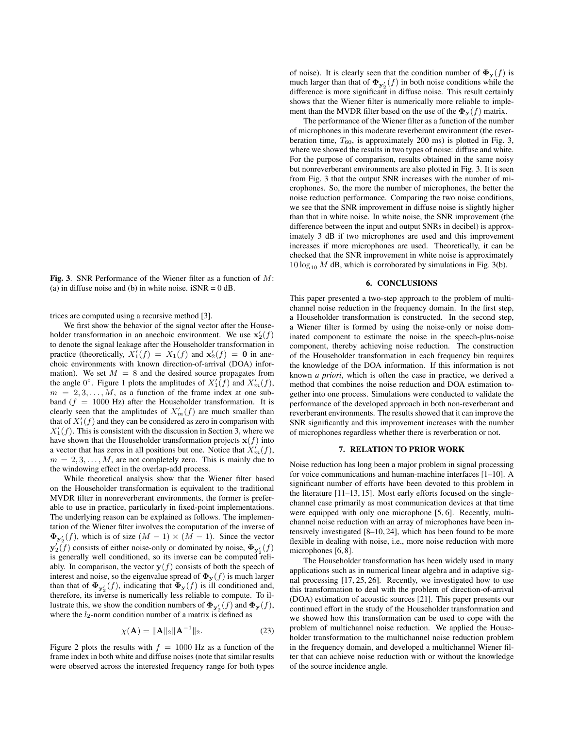Fig. 3. SNR Performance of the Wiener filter as a function of  $M$ : (a) in diffuse noise and (b) in white noise.  $iSNR = 0$  dB.

trices are computed using a recursive method [3].

We first show the behavior of the signal vector after the Householder transformation in an anechoic environment. We use  $\mathbf{x}'_2(f)$ to denote the signal leakage after the Householder transformation in practice (theoretically,  $X_1'(f) = X_1(f)$  and  $\mathbf{x}_2'(f) = \mathbf{0}$  in anechoic environments with known direction-of-arrival (DOA) information). We set  $M = 8$  and the desired source propagates from the angle  $0^{\circ}$ . Figure 1 plots the amplitudes of  $X_1'(f)$  and  $X_m'(f)$ ,  $m = 2, 3, \ldots, M$ , as a function of the frame index at one subband ( $f = 1000$  Hz) after the Householder transformation. It is clearly seen that the amplitudes of  $X'_m(f)$  are much smaller than that of  $X_1'(f)$  and they can be considered as zero in comparison with  $X_1'(f)$ . This is consistent with the discussion in Section 3, where we have shown that the Householder transformation projects  $x(f)$  into a vector that has zeros in all positions but one. Notice that  $\ddot{X}_m^i(f)$ ,  $m = 2, 3, \ldots, M$ , are not completely zero. This is mainly due to the windowing effect in the overlap-add process.

While theoretical analysis show that the Wiener filter based on the Householder transformation is equivalent to the traditional MVDR filter in nonreverberant environments, the former is preferable to use in practice, particularly in fixed-point implementations. The underlying reason can be explained as follows. The implementation of the Wiener filter involves the computation of the inverse of  $\Phi_{\mathbf{y}_2'}(f)$ , which is of size  $(M-1) \times (M-1)$ . Since the vector  $\mathbf{y}'_2(f)$  consists of either noise-only or dominated by noise,  $\mathbf{\Phi}_{\mathbf{y}'_2}(f)$ is generally well conditioned, so its inverse can be computed reliably. In comparison, the vector  $y(f)$  consists of both the speech of interest and noise, so the eigenvalue spread of  $\mathbf{\Phi}_{\mathbf{y}}(f)$  is much larger than that of  $\mathbf{\Phi}_{\mathbf{y}'_2}(f)$ , indicating that  $\mathbf{\Phi}_{\mathbf{y}}(f)$  is ill conditioned and, therefore, its inverse is numerically less reliable to compute. To illustrate this, we show the condition numbers of  $\mathbf{\Phi}_{\mathbf{y}_2}(f)$  and  $\mathbf{\Phi}_{\mathbf{y}}(f)$ , where the  $l_2$ -norm condition number of a matrix is defined as

$$
\chi(\mathbf{A}) = \|\mathbf{A}\|_{2} \|\mathbf{A}^{-1}\|_{2}.
$$
 (23)

Figure 2 plots the results with  $f = 1000$  Hz as a function of the frame index in both white and diffuse noises (note that similar results were observed across the interested frequency range for both types

of noise). It is clearly seen that the condition number of  $\Phi_y(f)$  is much larger than that of  $\Phi_{y_2'}(f)$  in both noise conditions while the difference is more significant in diffuse noise. This result certainly shows that the Wiener filter is numerically more reliable to implement than the MVDR filter based on the use of the  $\Phi_y(f)$  matrix.

The performance of the Wiener filter as a function of the number of microphones in this moderate reverberant environment (the reverberation time,  $T_{60}$ , is approximately 200 ms) is plotted in Fig. 3, where we showed the results in two types of noise: diffuse and white. For the purpose of comparison, results obtained in the same noisy but nonreverberant environments are also plotted in Fig. 3. It is seen from Fig. 3 that the output SNR increases with the number of microphones. So, the more the number of microphones, the better the noise reduction performance. Comparing the two noise conditions, we see that the SNR improvement in diffuse noise is slightly higher than that in white noise. In white noise, the SNR improvement (the difference between the input and output SNRs in decibel) is approximately 3 dB if two microphones are used and this improvement increases if more microphones are used. Theoretically, it can be checked that the SNR improvement in white noise is approximately  $10 \log_{10} M$  dB, which is corroborated by simulations in Fig. 3(b).

## 6. CONCLUSIONS

This paper presented a two-step approach to the problem of multichannel noise reduction in the frequency domain. In the first step, a Householder transformation is constructed. In the second step, a Wiener filter is formed by using the noise-only or noise dominated component to estimate the noise in the speech-plus-noise component, thereby achieving noise reduction. The construction of the Householder transformation in each frequency bin requires the knowledge of the DOA information. If this information is not known *a priori*, which is often the case in practice, we derived a method that combines the noise reduction and DOA estimation together into one process. Simulations were conducted to validate the performance of the developed approach in both non-reverberant and reverberant environments. The results showed that it can improve the SNR significantly and this improvement increases with the number of microphones regardless whether there is reverberation or not.

#### 7. RELATION TO PRIOR WORK

Noise reduction has long been a major problem in signal processing for voice communications and human-machine interfaces [1–10]. A significant number of efforts have been devoted to this problem in the literature [11–13, 15]. Most early efforts focused on the singlechannel case primarily as most communication devices at that time were equipped with only one microphone [5, 6]. Recently, multichannel noise reduction with an array of microphones have been intensively investigated [8–10, 24], which has been found to be more flexible in dealing with noise, i.e., more noise reduction with more microphones [6, 8].

The Householder transformation has been widely used in many applications such as in numerical linear algebra and in adaptive signal processing [17, 25, 26]. Recently, we investigated how to use this transformation to deal with the problem of direction-of-arrival (DOA) estimation of acoustic sources [21]. This paper presents our continued effort in the study of the Householder transformation and we showed how this transformation can be used to cope with the problem of multichannel noise reduction. We applied the Householder transformation to the multichannel noise reduction problem in the frequency domain, and developed a multichannel Wiener filter that can achieve noise reduction with or without the knowledge of the source incidence angle.